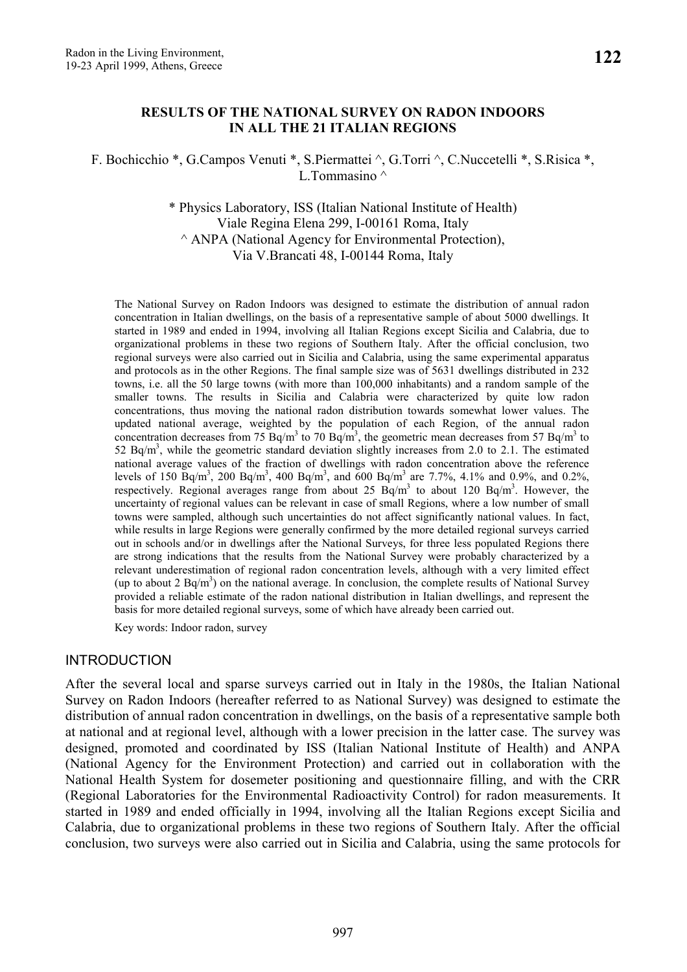### **RESULTS OF THE NATIONAL SURVEY ON RADON INDOORS IN ALL THE 21 ITALIAN REGIONS**

F. Bochicchio \*, G.Campos Venuti \*, S.Piermattei ^, G.Torri ^, C.Nuccetelli \*, S.Risica \*, L.Tommasino ^

> \* Physics Laboratory, ISS (Italian National Institute of Health) Viale Regina Elena 299, I-00161 Roma, Italy  $\land$  ANPA (National Agency for Environmental Protection), Via V.Brancati 48, I-00144 Roma, Italy

The National Survey on Radon Indoors was designed to estimate the distribution of annual radon concentration in Italian dwellings, on the basis of a representative sample of about 5000 dwellings. It started in 1989 and ended in 1994, involving all Italian Regions except Sicilia and Calabria, due to organizational problems in these two regions of Southern Italy. After the official conclusion, two regional surveys were also carried out in Sicilia and Calabria, using the same experimental apparatus and protocols as in the other Regions. The final sample size was of 5631 dwellings distributed in 232 towns, i.e. all the 50 large towns (with more than 100,000 inhabitants) and a random sample of the smaller towns. The results in Sicilia and Calabria were characterized by quite low radon concentrations, thus moving the national radon distribution towards somewhat lower values. The updated national average, weighted by the population of each Region, of the annual radon concentration decreases from 75 Bq/m<sup>3</sup> to 70 Bq/m<sup>3</sup>, the geometric mean decreases from 57 Bq/m<sup>3</sup> to 52 Bq/m<sup>3</sup>, while the geometric standard deviation slightly increases from 2.0 to 2.1. The estimated national average values of the fraction of dwellings with radon concentration above the reference levels of 150 Bq/m<sup>3</sup>, 200 Bq/m<sup>3</sup>, 400 Bq/m<sup>3</sup>, and 600 Bq/m<sup>3</sup> are 7.7%, 4.1% and 0.9%, and 0.2%, respectively. Regional averages range from about 25  $\text{Bq/m}^3$  to about 120  $\text{Bq/m}^3$ . However, the uncertainty of regional values can be relevant in case of small Regions, where a low number of small towns were sampled, although such uncertainties do not affect significantly national values. In fact, while results in large Regions were generally confirmed by the more detailed regional surveys carried out in schools and/or in dwellings after the National Surveys, for three less populated Regions there are strong indications that the results from the National Survey were probably characterized by a relevant underestimation of regional radon concentration levels, although with a very limited effect (up to about 2  $Bq/m<sup>3</sup>$ ) on the national average. In conclusion, the complete results of National Survey provided a reliable estimate of the radon national distribution in Italian dwellings, and represent the basis for more detailed regional surveys, some of which have already been carried out.

Key words: Indoor radon, survey

### INTRODUCTION

After the several local and sparse surveys carried out in Italy in the 1980s, the Italian National Survey on Radon Indoors (hereafter referred to as National Survey) was designed to estimate the distribution of annual radon concentration in dwellings, on the basis of a representative sample both at national and at regional level, although with a lower precision in the latter case. The survey was designed, promoted and coordinated by ISS (Italian National Institute of Health) and ANPA (National Agency for the Environment Protection) and carried out in collaboration with the National Health System for dosemeter positioning and questionnaire filling, and with the CRR (Regional Laboratories for the Environmental Radioactivity Control) for radon measurements. It started in 1989 and ended officially in 1994, involving all the Italian Regions except Sicilia and Calabria, due to organizational problems in these two regions of Southern Italy. After the official conclusion, two surveys were also carried out in Sicilia and Calabria, using the same protocols for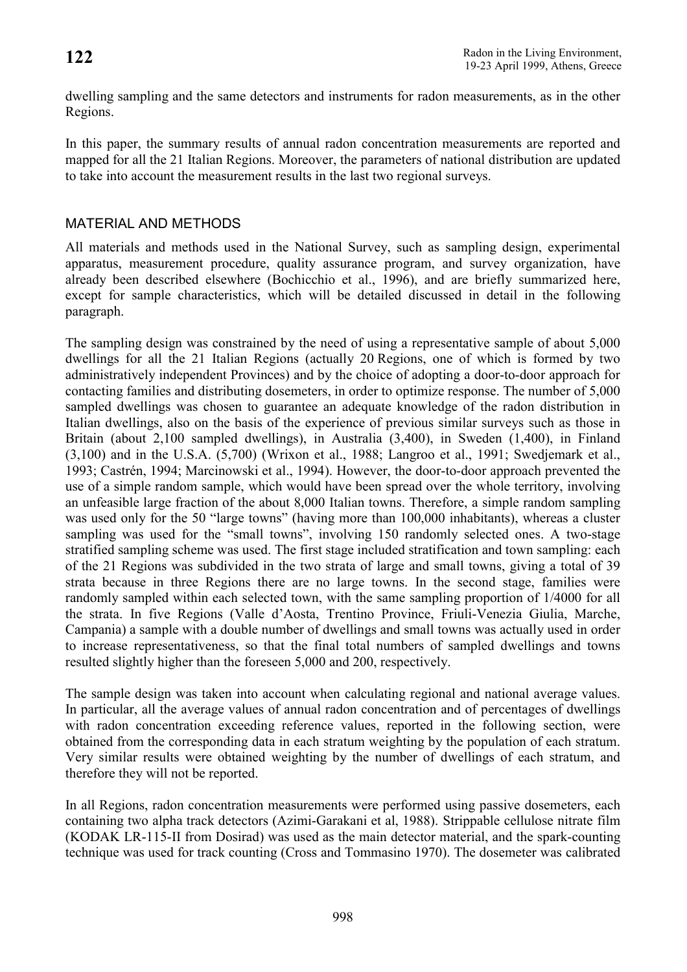dwelling sampling and the same detectors and instruments for radon measurements, as in the other Regions.

In this paper, the summary results of annual radon concentration measurements are reported and mapped for all the 21 Italian Regions. Moreover, the parameters of national distribution are updated to take into account the measurement results in the last two regional surveys.

# MATERIAL AND METHODS

All materials and methods used in the National Survey, such as sampling design, experimental apparatus, measurement procedure, quality assurance program, and survey organization, have already been described elsewhere (Bochicchio et al., 1996), and are briefly summarized here, except for sample characteristics, which will be detailed discussed in detail in the following paragraph.

The sampling design was constrained by the need of using a representative sample of about 5,000 dwellings for all the 21 Italian Regions (actually 20 Regions, one of which is formed by two administratively independent Provinces) and by the choice of adopting a door-to-door approach for contacting families and distributing dosemeters, in order to optimize response. The number of 5,000 sampled dwellings was chosen to guarantee an adequate knowledge of the radon distribution in Italian dwellings, also on the basis of the experience of previous similar surveys such as those in Britain (about 2,100 sampled dwellings), in Australia (3,400), in Sweden (1,400), in Finland (3,100) and in the U.S.A. (5,700) (Wrixon et al., 1988; Langroo et al., 1991; Swedjemark et al., 1993; Castrén, 1994; Marcinowski et al., 1994). However, the door-to-door approach prevented the use of a simple random sample, which would have been spread over the whole territory, involving an unfeasible large fraction of the about 8,000 Italian towns. Therefore, a simple random sampling was used only for the 50 "large towns" (having more than 100,000 inhabitants), whereas a cluster sampling was used for the "small towns", involving 150 randomly selected ones. A two-stage stratified sampling scheme was used. The first stage included stratification and town sampling: each of the 21 Regions was subdivided in the two strata of large and small towns, giving a total of 39 strata because in three Regions there are no large towns. In the second stage, families were randomly sampled within each selected town, with the same sampling proportion of 1/4000 for all the strata. In five Regions (Valle d'Aosta, Trentino Province, Friuli-Venezia Giulia, Marche, Campania) a sample with a double number of dwellings and small towns was actually used in order to increase representativeness, so that the final total numbers of sampled dwellings and towns resulted slightly higher than the foreseen 5,000 and 200, respectively.

The sample design was taken into account when calculating regional and national average values. In particular, all the average values of annual radon concentration and of percentages of dwellings with radon concentration exceeding reference values, reported in the following section, were obtained from the corresponding data in each stratum weighting by the population of each stratum. Very similar results were obtained weighting by the number of dwellings of each stratum, and therefore they will not be reported.

In all Regions, radon concentration measurements were performed using passive dosemeters, each containing two alpha track detectors (Azimi-Garakani et al, 1988). Strippable cellulose nitrate film (KODAK LR-115-II from Dosirad) was used as the main detector material, and the spark-counting technique was used for track counting (Cross and Tommasino 1970). The dosemeter was calibrated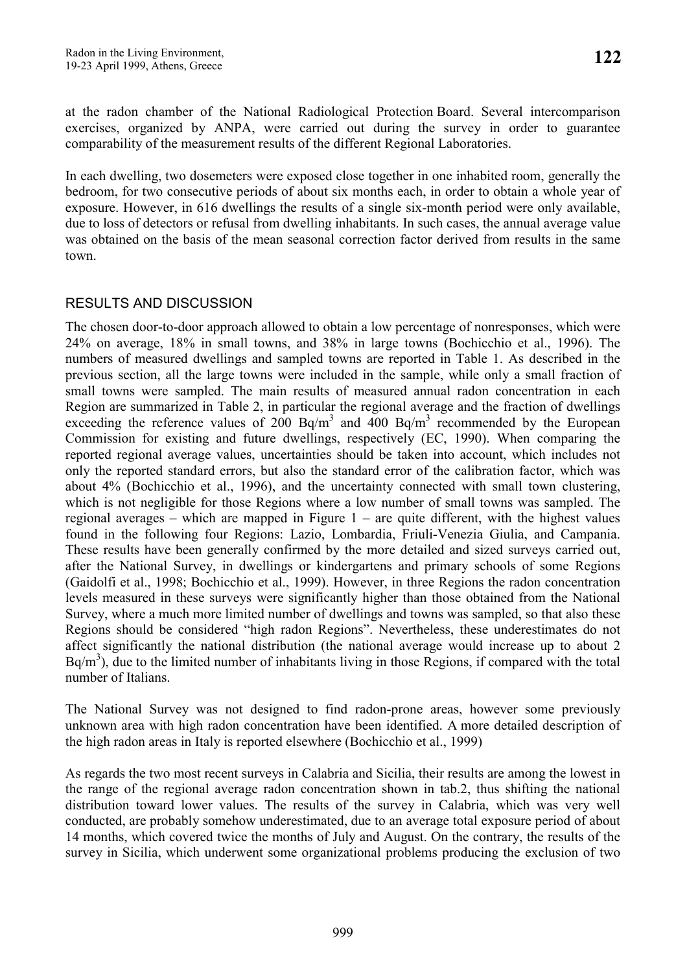at the radon chamber of the National Radiological Protection Board. Several intercomparison exercises, organized by ANPA, were carried out during the survey in order to guarantee comparability of the measurement results of the different Regional Laboratories.

In each dwelling, two dosemeters were exposed close together in one inhabited room, generally the bedroom, for two consecutive periods of about six months each, in order to obtain a whole year of exposure. However, in 616 dwellings the results of a single six-month period were only available, due to loss of detectors or refusal from dwelling inhabitants. In such cases, the annual average value was obtained on the basis of the mean seasonal correction factor derived from results in the same town.

## RESULTS AND DISCUSSION

The chosen door-to-door approach allowed to obtain a low percentage of nonresponses, which were 24% on average, 18% in small towns, and 38% in large towns (Bochicchio et al., 1996). The numbers of measured dwellings and sampled towns are reported in Table 1. As described in the previous section, all the large towns were included in the sample, while only a small fraction of small towns were sampled. The main results of measured annual radon concentration in each Region are summarized in Table 2, in particular the regional average and the fraction of dwellings exceeding the reference values of 200 Bq/m<sup>3</sup> and 400 Bq/m<sup>3</sup> recommended by the European Commission for existing and future dwellings, respectively (EC, 1990). When comparing the reported regional average values, uncertainties should be taken into account, which includes not only the reported standard errors, but also the standard error of the calibration factor, which was about 4% (Bochicchio et al., 1996), and the uncertainty connected with small town clustering, which is not negligible for those Regions where a low number of small towns was sampled. The regional averages – which are mapped in Figure  $1$  – are quite different, with the highest values found in the following four Regions: Lazio, Lombardia, Friuli-Venezia Giulia, and Campania. These results have been generally confirmed by the more detailed and sized surveys carried out, after the National Survey, in dwellings or kindergartens and primary schools of some Regions (Gaidolfi et al., 1998; Bochicchio et al., 1999). However, in three Regions the radon concentration levels measured in these surveys were significantly higher than those obtained from the National Survey, where a much more limited number of dwellings and towns was sampled, so that also these Regions should be considered "high radon Regions". Nevertheless, these underestimates do not affect significantly the national distribution (the national average would increase up to about 2  $Bq/m<sup>3</sup>$ ), due to the limited number of inhabitants living in those Regions, if compared with the total number of Italians.

The National Survey was not designed to find radon-prone areas, however some previously unknown area with high radon concentration have been identified. A more detailed description of the high radon areas in Italy is reported elsewhere (Bochicchio et al., 1999)

As regards the two most recent surveys in Calabria and Sicilia, their results are among the lowest in the range of the regional average radon concentration shown in tab.2, thus shifting the national distribution toward lower values. The results of the survey in Calabria, which was very well conducted, are probably somehow underestimated, due to an average total exposure period of about 14 months, which covered twice the months of July and August. On the contrary, the results of the survey in Sicilia, which underwent some organizational problems producing the exclusion of two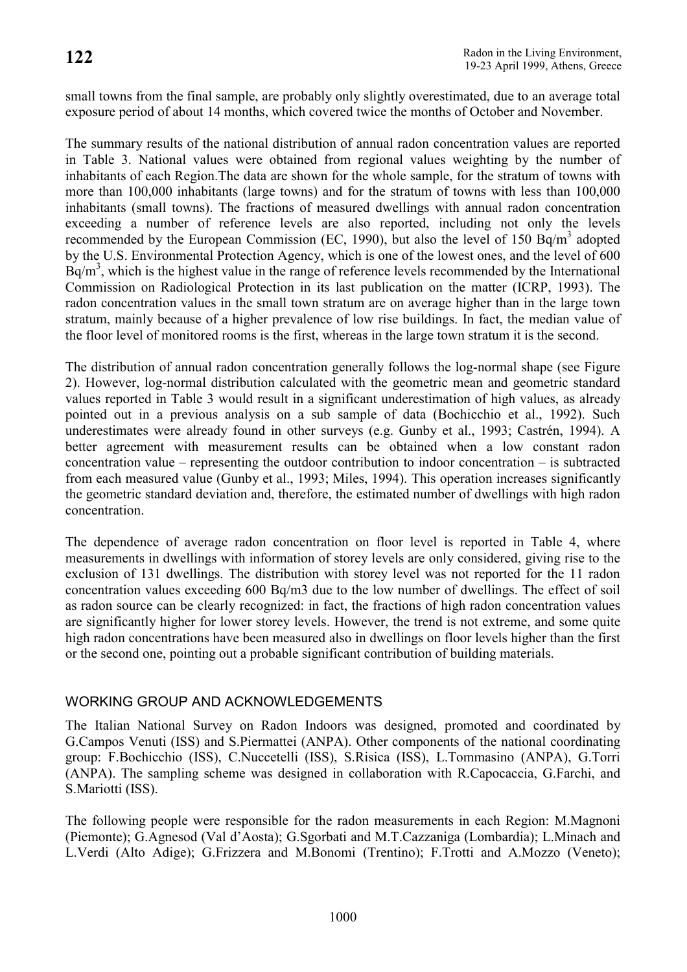small towns from the final sample, are probably only slightly overestimated, due to an average total exposure period of about 14 months, which covered twice the months of October and November.

The summary results of the national distribution of annual radon concentration values are reported in Table 3. National values were obtained from regional values weighting by the number of inhabitants of each Region.The data are shown for the whole sample, for the stratum of towns with more than 100,000 inhabitants (large towns) and for the stratum of towns with less than 100,000 inhabitants (small towns). The fractions of measured dwellings with annual radon concentration exceeding a number of reference levels are also reported, including not only the levels recommended by the European Commission (EC, 1990), but also the level of 150  $\text{Bq/m}^3$  adopted by the U.S. Environmental Protection Agency, which is one of the lowest ones, and the level of 600  $Bq/m<sup>3</sup>$ , which is the highest value in the range of reference levels recommended by the International Commission on Radiological Protection in its last publication on the matter (ICRP, 1993). The radon concentration values in the small town stratum are on average higher than in the large town stratum, mainly because of a higher prevalence of low rise buildings. In fact, the median value of the floor level of monitored rooms is the first, whereas in the large town stratum it is the second.

The distribution of annual radon concentration generally follows the log-normal shape (see Figure 2). However, log-normal distribution calculated with the geometric mean and geometric standard values reported in Table 3 would result in a significant underestimation of high values, as already pointed out in a previous analysis on a sub sample of data (Bochicchio et al., 1992). Such underestimates were already found in other surveys (e.g. Gunby et al., 1993; Castrén, 1994). A better agreement with measurement results can be obtained when a low constant radon concentration value – representing the outdoor contribution to indoor concentration – is subtracted from each measured value (Gunby et al., 1993; Miles, 1994). This operation increases significantly the geometric standard deviation and, therefore, the estimated number of dwellings with high radon concentration.

The dependence of average radon concentration on floor level is reported in Table 4, where measurements in dwellings with information of storey levels are only considered, giving rise to the exclusion of 131 dwellings. The distribution with storey level was not reported for the 11 radon concentration values exceeding 600 Bq/m3 due to the low number of dwellings. The effect of soil as radon source can be clearly recognized: in fact, the fractions of high radon concentration values are significantly higher for lower storey levels. However, the trend is not extreme, and some quite high radon concentrations have been measured also in dwellings on floor levels higher than the first or the second one, pointing out a probable significant contribution of building materials.

## WORKING GROUP AND ACKNOWLEDGEMENTS

The Italian National Survey on Radon Indoors was designed, promoted and coordinated by G.Campos Venuti (ISS) and S.Piermattei (ANPA). Other components of the national coordinating group: F.Bochicchio (ISS), C.Nuccetelli (ISS), S.Risica (ISS), L.Tommasino (ANPA), G.Torri (ANPA). The sampling scheme was designed in collaboration with R.Capocaccia, G.Farchi, and S.Mariotti (ISS).

The following people were responsible for the radon measurements in each Region: M.Magnoni (Piemonte); G.Agnesod (Val d'Aosta); G.Sgorbati and M.T.Cazzaniga (Lombardia); L.Minach and L.Verdi (Alto Adige); G.Frizzera and M.Bonomi (Trentino); F.Trotti and A.Mozzo (Veneto);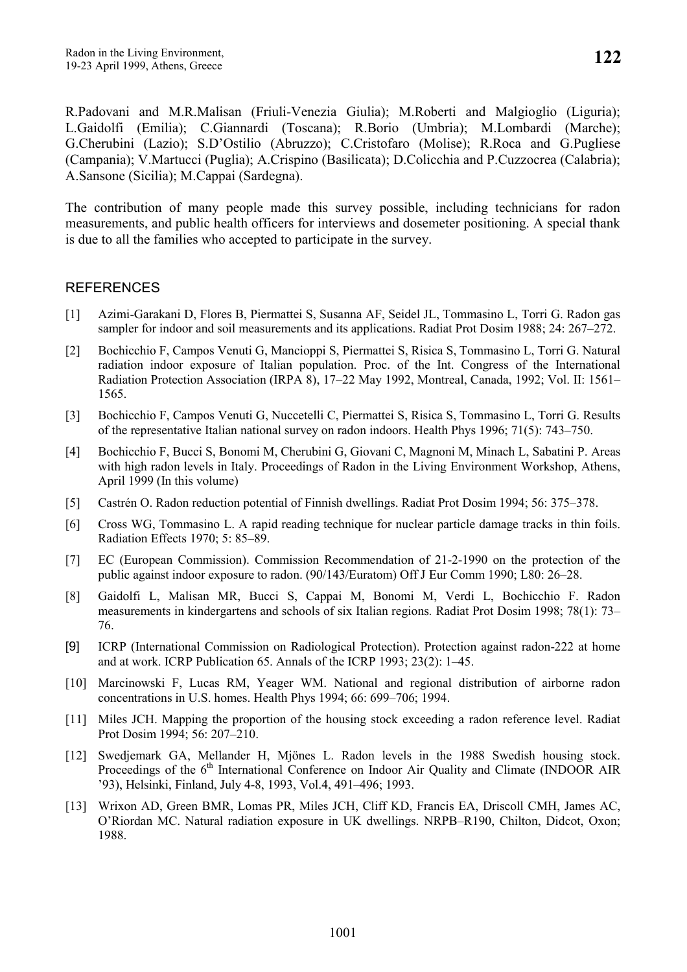R.Padovani and M.R.Malisan (Friuli-Venezia Giulia); M.Roberti and Malgioglio (Liguria); L.Gaidolfi (Emilia); C.Giannardi (Toscana); R.Borio (Umbria); M.Lombardi (Marche); G.Cherubini (Lazio); S.D'Ostilio (Abruzzo); C.Cristofaro (Molise); R.Roca and G.Pugliese (Campania); V.Martucci (Puglia); A.Crispino (Basilicata); D.Colicchia and P.Cuzzocrea (Calabria); A.Sansone (Sicilia); M.Cappai (Sardegna).

The contribution of many people made this survey possible, including technicians for radon measurements, and public health officers for interviews and dosemeter positioning. A special thank is due to all the families who accepted to participate in the survey.

#### **REFERENCES**

- [1] Azimi-Garakani D, Flores B, Piermattei S, Susanna AF, Seidel JL, Tommasino L, Torri G. Radon gas sampler for indoor and soil measurements and its applications. Radiat Prot Dosim 1988; 24: 267–272.
- [2] Bochicchio F, Campos Venuti G, Mancioppi S, Piermattei S, Risica S, Tommasino L, Torri G. Natural radiation indoor exposure of Italian population. Proc. of the Int. Congress of the International Radiation Protection Association (IRPA 8), 17–22 May 1992, Montreal, Canada, 1992; Vol. II: 1561– 1565.
- [3] Bochicchio F, Campos Venuti G, Nuccetelli C, Piermattei S, Risica S, Tommasino L, Torri G. Results of the representative Italian national survey on radon indoors. Health Phys 1996; 71(5): 743–750.
- [4] Bochicchio F, Bucci S, Bonomi M, Cherubini G, Giovani C, Magnoni M, Minach L, Sabatini P. Areas with high radon levels in Italy. Proceedings of Radon in the Living Environment Workshop, Athens, April 1999 (In this volume)
- [5] Castrén O. Radon reduction potential of Finnish dwellings. Radiat Prot Dosim 1994; 56: 375–378.
- [6] Cross WG, Tommasino L. A rapid reading technique for nuclear particle damage tracks in thin foils. Radiation Effects 1970; 5: 85–89.
- [7] EC (European Commission). Commission Recommendation of 21-2-1990 on the protection of the public against indoor exposure to radon. (90/143/Euratom) Off J Eur Comm 1990; L80: 26–28.
- [8] Gaidolfi L, Malisan MR, Bucci S, Cappai M, Bonomi M, Verdi L, Bochicchio F. Radon measurements in kindergartens and schools of six Italian regions. Radiat Prot Dosim 1998; 78(1): 73– 76.
- [9] ICRP (International Commission on Radiological Protection). Protection against radon-222 at home and at work. ICRP Publication 65. Annals of the ICRP 1993; 23(2): 1–45.
- [10] Marcinowski F, Lucas RM, Yeager WM. National and regional distribution of airborne radon concentrations in U.S. homes. Health Phys 1994; 66: 699–706; 1994.
- [11] Miles JCH. Mapping the proportion of the housing stock exceeding a radon reference level. Radiat Prot Dosim 1994; 56: 207–210.
- [12] Swedjemark GA, Mellander H, Mjönes L. Radon levels in the 1988 Swedish housing stock. Proceedings of the  $6<sup>th</sup>$  International Conference on Indoor Air Quality and Climate (INDOOR AIR '93), Helsinki, Finland, July 4-8, 1993, Vol.4, 491–496; 1993.
- [13] Wrixon AD, Green BMR, Lomas PR, Miles JCH, Cliff KD, Francis EA, Driscoll CMH, James AC, O'Riordan MC. Natural radiation exposure in UK dwellings. NRPB–R190, Chilton, Didcot, Oxon; 1988.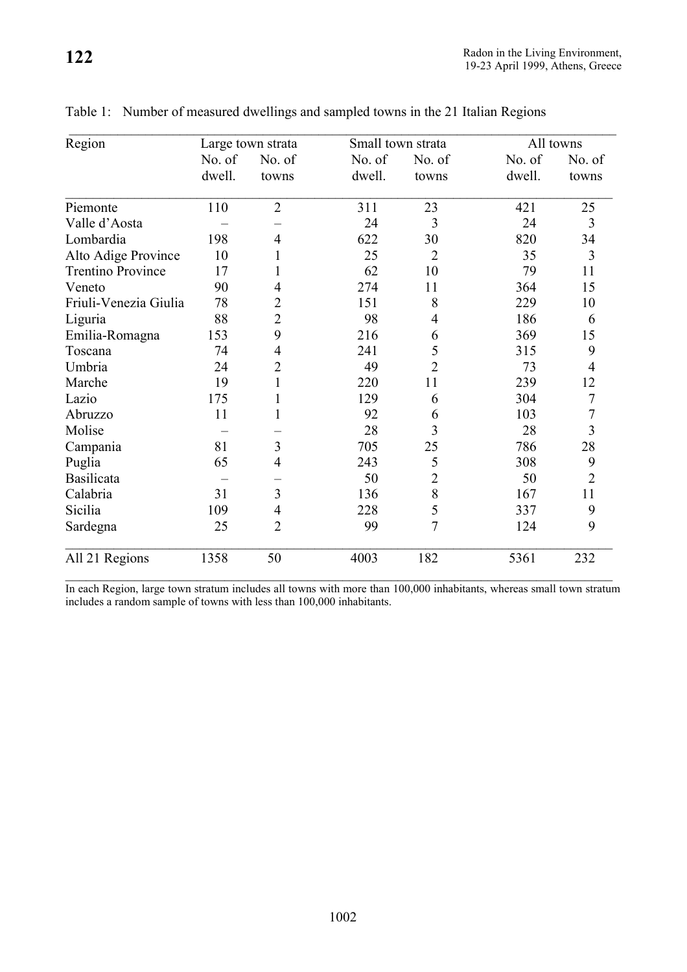| Region                   | Large town strata |                | Small town strata |                | All towns |                |
|--------------------------|-------------------|----------------|-------------------|----------------|-----------|----------------|
|                          | No. of            | No. of         | No. of            | No. of         | No. of    | No. of         |
|                          | dwell.            | towns          | dwell.            | towns          | dwell.    | towns          |
| Piemonte                 | 110               | $\overline{2}$ | 311               | 23             | 421       | 25             |
| Valle d'Aosta            |                   |                | 24                | 3              | 24        | 3              |
| Lombardia                | 198               | 4              | 622               | 30             | 820       | 34             |
| Alto Adige Province      | 10                |                | 25                | $\overline{2}$ | 35        | 3              |
| <b>Trentino Province</b> | 17                | 1              | 62                | 10             | 79        | 11             |
| Veneto                   | 90                | 4              | 274               | 11             | 364       | 15             |
| Friuli-Venezia Giulia    | 78                | $\overline{2}$ | 151               | 8              | 229       | 10             |
| Liguria                  | 88                | $\overline{2}$ | 98                | $\overline{4}$ | 186       | 6              |
| Emilia-Romagna           | 153               | 9              | 216               | 6              | 369       | 15             |
| Toscana                  | 74                | 4              | 241               | 5              | 315       | 9              |
| Umbria                   | 24                | $\overline{2}$ | 49                | $\overline{2}$ | 73        | $\overline{4}$ |
| Marche                   | 19                | 1              | 220               | 11             | 239       | 12             |
| Lazio                    | 175               |                | 129               | 6              | 304       | 7              |
| Abruzzo                  | 11                | 1              | 92                | 6              | 103       | $\overline{7}$ |
| Molise                   |                   |                | 28                | 3              | 28        | 3              |
| Campania                 | 81                | 3              | 705               | 25             | 786       | 28             |
| Puglia                   | 65                | 4              | 243               | 5              | 308       | 9              |
| <b>Basilicata</b>        |                   |                | 50                | $\overline{2}$ | 50        | $\overline{2}$ |
| Calabria                 | 31                | 3              | 136               | 8              | 167       | 11             |
| Sicilia                  | 109               | 4              | 228               | 5              | 337       | 9              |
| Sardegna                 | 25                | $\overline{2}$ | 99                | $\overline{7}$ | 124       | 9              |
| All 21 Regions           | 1358              | 50             | 4003              | 182            | 5361      | 232            |

Table 1: Number of measured dwellings and sampled towns in the 21 Italian Regions

 $\mathcal{L}_\mathcal{L} = \mathcal{L}_\mathcal{L} = \mathcal{L}_\mathcal{L} = \mathcal{L}_\mathcal{L} = \mathcal{L}_\mathcal{L} = \mathcal{L}_\mathcal{L} = \mathcal{L}_\mathcal{L} = \mathcal{L}_\mathcal{L} = \mathcal{L}_\mathcal{L} = \mathcal{L}_\mathcal{L} = \mathcal{L}_\mathcal{L} = \mathcal{L}_\mathcal{L} = \mathcal{L}_\mathcal{L} = \mathcal{L}_\mathcal{L} = \mathcal{L}_\mathcal{L} = \mathcal{L}_\mathcal{L} = \mathcal{L}_\mathcal{L}$ In each Region, large town stratum includes all towns with more than 100,000 inhabitants, whereas small town stratum includes a random sample of towns with less than 100,000 inhabitants.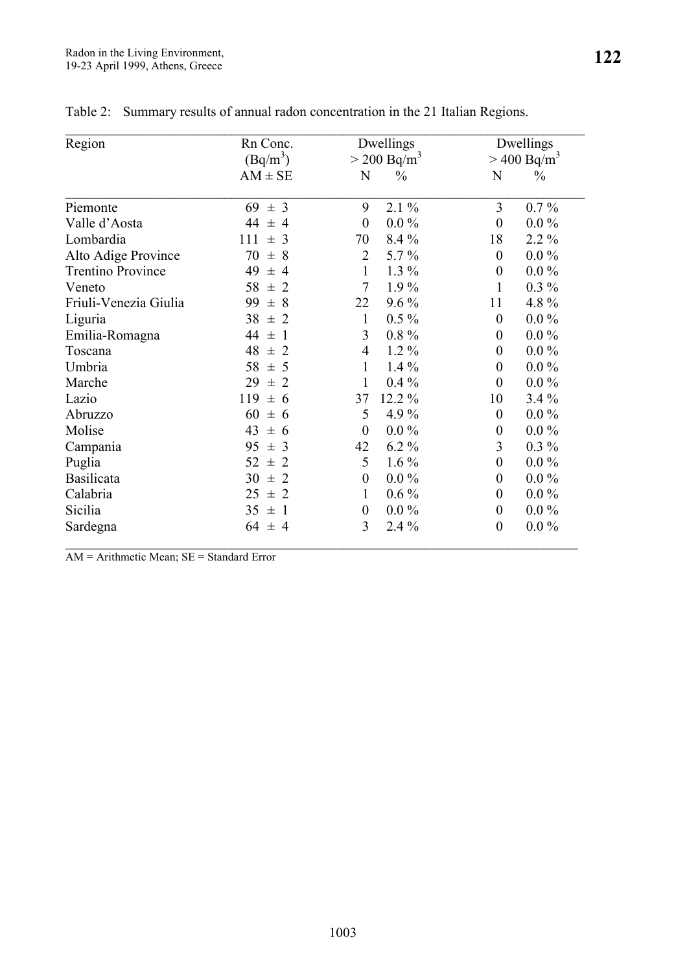| Region                   | Rn Conc.                      | Dwellings                 | Dwellings                   |
|--------------------------|-------------------------------|---------------------------|-----------------------------|
|                          | $(Bq/m^3)$                    | $>$ 200 Bq/m <sup>3</sup> | $> 400$ Bq/m <sup>3</sup>   |
|                          | $AM \pm SE$                   | $\frac{0}{0}$<br>N        | $\frac{0}{0}$<br>N          |
| Piemonte                 | $69 \pm 3$                    | 9<br>$2.1\%$              | 3<br>$0.7\%$                |
| Valle d'Aosta            | 44                            | $0.0\%$                   | $0.0\%$                     |
|                          | $\pm$ 4                       | $\boldsymbol{0}$          | $\boldsymbol{0}$            |
| Lombardia                | 111<br>3<br>$\pm$             | 8.4 %<br>70               | $2.2\%$<br>18               |
| Alto Adige Province      | $\pm$ 8                       | 5.7%                      | $0.0\%$                     |
|                          | 70                            | $\overline{2}$            | $\boldsymbol{0}$            |
| <b>Trentino Province</b> | 49                            | $\mathbf{1}$              | $0.0\%$                     |
|                          | $\pm$ 4                       | $1.3\%$                   | $\boldsymbol{0}$            |
| Veneto                   | 58                            | $\tau$                    | $\mathbf{1}$                |
|                          | $\pm$ 2                       | $1.9\%$                   | $0.3\%$                     |
| Friuli-Venezia Giulia    | 99                            | 22                        | 11                          |
|                          | $\pm$ 8                       | $9.6\%$                   | 4.8%                        |
| Liguria                  | 38<br>$\overline{2}$<br>士     | $0.5\%$<br>1              | $0.0\%$<br>$\boldsymbol{0}$ |
| Emilia-Romagna           | 44                            | 3                         | $0.0\%$                     |
|                          | $\pm$ 1                       | $0.8\%$                   | $\boldsymbol{0}$            |
| Toscana                  | 48                            | $1.2\%$                   | $0.0\%$                     |
|                          | $\pm$ 2                       | $\overline{4}$            | $\boldsymbol{0}$            |
| Umbria                   | 58                            | 1                         | $0.0\%$                     |
|                          | $\pm$ 5                       | $1.4\%$                   | $\boldsymbol{0}$            |
| Marche                   | 29<br>$\pm$<br>$\overline{2}$ | $\mathbf{1}$<br>$0.4\%$   | $0.0\%$<br>$\boldsymbol{0}$ |
| Lazio                    | 119                           | 12.2 %                    | 10                          |
|                          | $\pm$ 6                       | 37                        | $3.4\%$                     |
| Abruzzo                  | 60                            | 4.9%                      | $0.0\%$                     |
|                          | $\pm$ 6                       | 5                         | $\boldsymbol{0}$            |
| Molise                   | 43                            | $\boldsymbol{0}$          | $0.0\%$                     |
|                          | ± 6                           | $0.0\%$                   | $\boldsymbol{0}$            |
| Campania                 | 95                            | 6.2 %                     | 3                           |
|                          | $\pm$ 3                       | 42                        | $0.3\%$                     |
| Puglia                   | 52<br>2<br>士                  | 5<br>$1.6\%$              | $0.0\%$<br>$\boldsymbol{0}$ |
| Basilicata               | 30                            | $0.0\%$                   | $0.0\%$                     |
|                          | $\pm$ 2                       | $\theta$                  | $\boldsymbol{0}$            |
| Calabria                 | 25                            | $0.6\%$                   | $0.0\%$                     |
|                          | $\pm$ 2                       | 1                         | $\boldsymbol{0}$            |
| Sicilia                  | 35                            | $0.0\%$                   | $0.0\%$                     |
|                          | $\pm$ 1                       | $\boldsymbol{0}$          | $\boldsymbol{0}$            |
| Sardegna                 | 64                            | $\overline{3}$            | $0.0\%$                     |
|                          | $\pm$ 4                       | 2.4 %                     | $\boldsymbol{0}$            |

Table 2: Summary results of annual radon concentration in the 21 Italian Regions.

AM = Arithmetic Mean; SE = Standard Error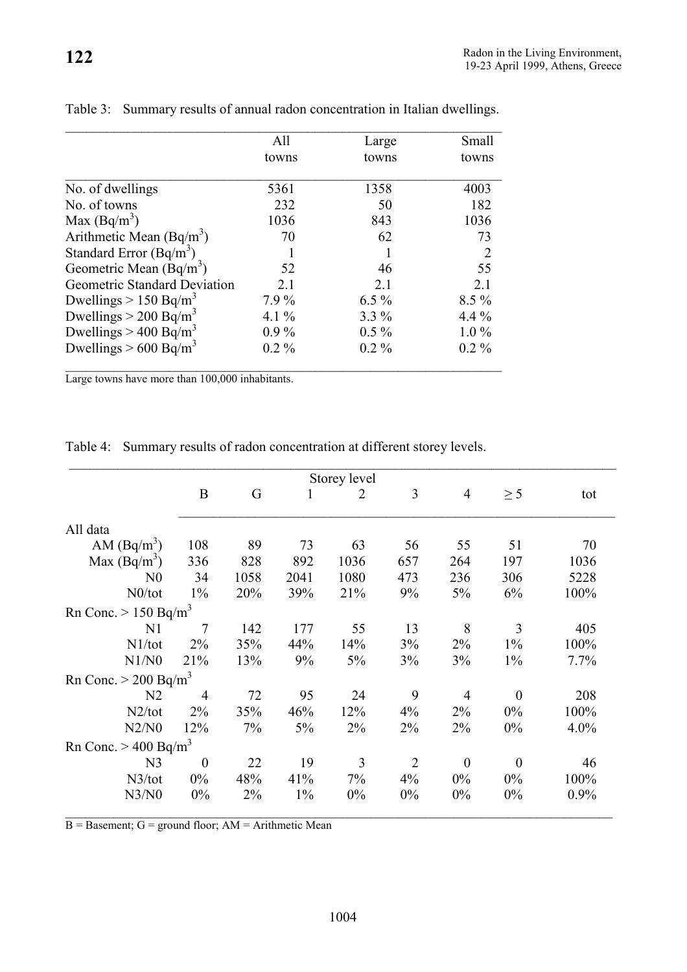| 1 <i>L L</i> |  |  |
|--------------|--|--|
|              |  |  |
|              |  |  |

|                                     | All      | Large   | Small   |
|-------------------------------------|----------|---------|---------|
|                                     | towns    | towns   | towns   |
| No. of dwellings                    | 5361     | 1358    | 4003    |
| No. of towns                        | 232      | 50      | 182     |
| Max $(Bq/m^3)$                      | 1036     | 843     | 1036    |
| Arithmetic Mean $(Bq/m^3)$          | 70       | 62      | 73      |
| Standard Error $(Bq/m^3)$           |          |         | 2       |
| Geometric Mean $(Bq/m^3)$           | 52       | 46      | 55      |
| Geometric Standard Deviation        | 2.1      | 2.1     | 2.1     |
| Dwellings $> 150$ Bq/m <sup>3</sup> | $7.9\%$  | $6.5\%$ | $8.5\%$ |
| Dwellings $> 200$ Bq/m <sup>3</sup> | 4.1 $\%$ | $3.3\%$ | $4.4\%$ |
| Dwellings $> 400 \text{ Bq/m}^3$    | $0.9\%$  | $0.5\%$ | $1.0\%$ |
| Dwellings $> 600$ Bq/m <sup>3</sup> | $0.2\%$  | $0.2\%$ | $0.2\%$ |

Table 3: Summary results of annual radon concentration in Italian dwellings.

Large towns have more than 100,000 inhabitants.

Table 4: Summary results of radon concentration at different storey levels.

|                                    |                  |       |       | Storey level |                |                  |                  |         |
|------------------------------------|------------------|-------|-------|--------------|----------------|------------------|------------------|---------|
|                                    | B                | G     | 1     | 2            | 3              | $\overline{4}$   | $\geq$ 5         | tot     |
| All data                           |                  |       |       |              |                |                  |                  |         |
| AM $(Bq/m^3)$                      | 108              | 89    | 73    | 63           | 56             | 55               | 51               | 70      |
| Max $(Bq/m^3)$                     | 336              | 828   | 892   | 1036         | 657            | 264              | 197              | 1036    |
| N <sub>0</sub>                     | 34               | 1058  | 2041  | 1080         | 473            | 236              | 306              | 5228    |
| N0/tot                             | $1\%$            | 20%   | 39%   | 21%          | 9%             | 5%               | 6%               | 100%    |
| Rn Conc. $> 150$ Bq/m <sup>3</sup> |                  |       |       |              |                |                  |                  |         |
| N <sub>1</sub>                     | $\overline{7}$   | 142   | 177   | 55           | 13             | 8                | 3                | 405     |
| N1/tot                             | 2%               | 35%   | 44%   | 14%          | 3%             | $2\%$            | $1\%$            | 100%    |
| N1/N0                              | 21%              | 13%   | 9%    | 5%           | 3%             | 3%               | $1\%$            | 7.7%    |
| Rn Conc. $>$ 200 Bq/m <sup>3</sup> |                  |       |       |              |                |                  |                  |         |
| N <sub>2</sub>                     | $\overline{4}$   | 72    | 95    | 24           | 9              | $\overline{4}$   | $\boldsymbol{0}$ | 208     |
| N2/tot                             | 2%               | 35%   | 46%   | 12%          | $4\%$          | $2\%$            | $0\%$            | 100%    |
| N2/N0                              | 12%              | 7%    | 5%    | 2%           | 2%             | 2%               | $0\%$            | $4.0\%$ |
| Rn Conc. $> 400$ Bq/m <sup>3</sup> |                  |       |       |              |                |                  |                  |         |
| N <sub>3</sub>                     | $\boldsymbol{0}$ | 22    | 19    | 3            | $\overline{2}$ | $\boldsymbol{0}$ | $\boldsymbol{0}$ | 46      |
| N3/tot                             | 0%               | 48%   | 41%   | 7%           | 4%             | 0%               | $0\%$            | 100%    |
| N3/N0                              | $0\%$            | $2\%$ | $1\%$ | $0\%$        | $0\%$          | $0\%$            | $0\%$            | 0.9%    |

 $B =$ Basement;  $G =$  ground floor;  $AM =$  Arithmetic Mean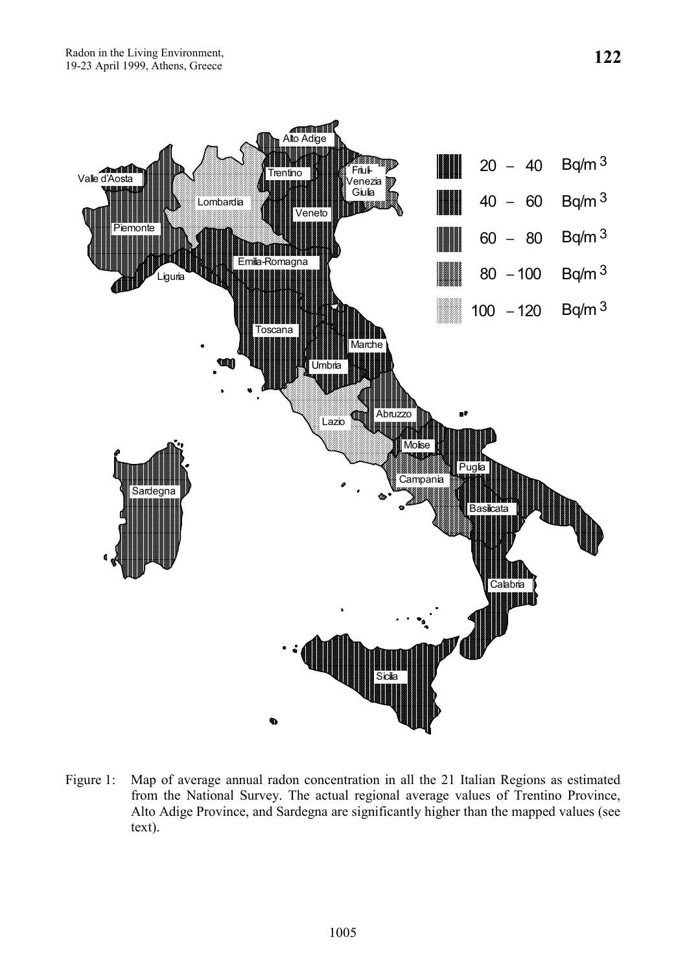

Figure 1: Map of average annual radon concentration in all the 21 Italian Regions as estimated from the National Survey. The actual regional average values of Trentino Province, Alto Adige Province, and Sardegna are significantly higher than the mapped values (see text).